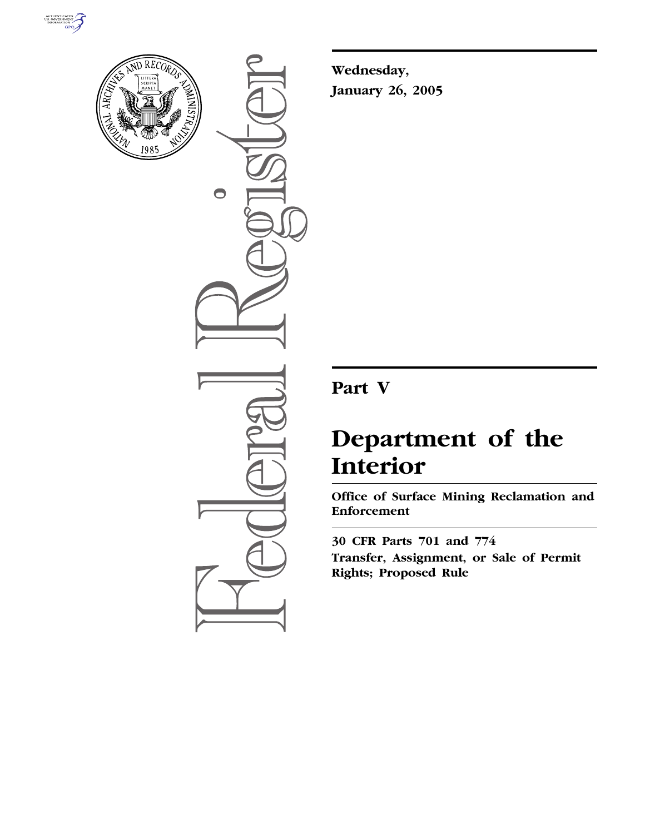



 $\bigcirc$ 

**Wednesday, January 26, 2005**

# **Part V**

# **Department of the Interior**

**Office of Surface Mining Reclamation and Enforcement** 

**30 CFR Parts 701 and 774 Transfer, Assignment, or Sale of Permit Rights; Proposed Rule**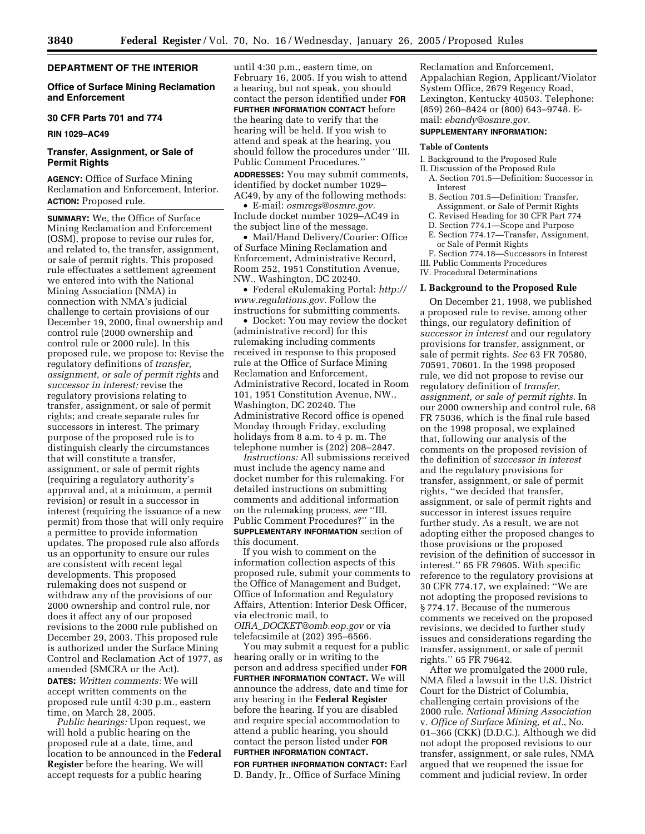# **DEPARTMENT OF THE INTERIOR**

# **Office of Surface Mining Reclamation and Enforcement**

# **30 CFR Parts 701 and 774**

**RIN 1029–AC49**

# **Transfer, Assignment, or Sale of Permit Rights**

**AGENCY:** Office of Surface Mining Reclamation and Enforcement, Interior. **ACTION:** Proposed rule.

**SUMMARY:** We, the Office of Surface Mining Reclamation and Enforcement (OSM), propose to revise our rules for, and related to, the transfer, assignment, or sale of permit rights. This proposed rule effectuates a settlement agreement we entered into with the National Mining Association (NMA) in connection with NMA's judicial challenge to certain provisions of our December 19, 2000, final ownership and control rule (2000 ownership and control rule or 2000 rule). In this proposed rule, we propose to: Revise the regulatory definitions of *transfer, assignment, or sale of permit rights* and *successor in interest;* revise the regulatory provisions relating to transfer, assignment, or sale of permit rights; and create separate rules for successors in interest. The primary purpose of the proposed rule is to distinguish clearly the circumstances that will constitute a transfer, assignment, or sale of permit rights (requiring a regulatory authority's approval and, at a minimum, a permit revision) or result in a successor in interest (requiring the issuance of a new permit) from those that will only require a permittee to provide information updates. The proposed rule also affords us an opportunity to ensure our rules are consistent with recent legal developments. This proposed rulemaking does not suspend or withdraw any of the provisions of our 2000 ownership and control rule, nor does it affect any of our proposed revisions to the 2000 rule published on December 29, 2003. This proposed rule is authorized under the Surface Mining Control and Reclamation Act of 1977, as amended (SMCRA or the Act). **DATES:** *Written comments:* We will

accept written comments on the proposed rule until 4:30 p.m., eastern time, on March 28, 2005.

*Public hearings:* Upon request, we will hold a public hearing on the proposed rule at a date, time, and location to be announced in the **Federal Register** before the hearing. We will accept requests for a public hearing

until 4:30 p.m., eastern time, on February 16, 2005. If you wish to attend a hearing, but not speak, you should contact the person identified under **FOR FURTHER INFORMATION CONTACT** before the hearing date to verify that the hearing will be held. If you wish to attend and speak at the hearing, you should follow the procedures under ''III. Public Comment Procedures."

**ADDRESSES:** You may submit comments, identified by docket number 1029– AC49, by any of the following methods:

• E-mail: *osmregs@osmre.gov.* Include docket number 1029–AC49 in the subject line of the message.

• Mail/Hand Delivery/Courier: Office of Surface Mining Reclamation and Enforcement, Administrative Record, Room 252, 1951 Constitution Avenue, NW., Washington, DC 20240.

• Federal eRulemaking Portal: *http:// www.regulations.gov.* Follow the instructions for submitting comments.

• Docket: You may review the docket (administrative record) for this rulemaking including comments received in response to this proposed rule at the Office of Surface Mining Reclamation and Enforcement, Administrative Record, located in Room 101, 1951 Constitution Avenue, NW., Washington, DC 20240. The Administrative Record office is opened Monday through Friday, excluding holidays from 8 a.m. to 4 p. m. The telephone number is (202) 208–2847.

*Instructions:* All submissions received must include the agency name and docket number for this rulemaking. For detailed instructions on submitting comments and additional information on the rulemaking process, *see* ''III. Public Comment Procedures?'' in the **SUPPLEMENTARY INFORMATION** section of this document.

If you wish to comment on the information collection aspects of this proposed rule, submit your comments to the Office of Management and Budget, Office of Information and Regulatory Affairs, Attention: Interior Desk Officer, via electronic mail, to *OIRA*\_*DOCKET@omb.eop.gov* or via telefacsimile at (202) 395–6566.

You may submit a request for a public hearing orally or in writing to the person and address specified under **FOR FURTHER INFORMATION CONTACT.** We will announce the address, date and time for any hearing in the **Federal Register** before the hearing. If you are disabled and require special accommodation to attend a public hearing, you should contact the person listed under **FOR FURTHER INFORMATION CONTACT.**

**FOR FURTHER INFORMATION CONTACT:** Earl D. Bandy, Jr., Office of Surface Mining

Reclamation and Enforcement, Appalachian Region, Applicant/Violator System Office, 2679 Regency Road, Lexington, Kentucky 40503. Telephone: (859) 260–8424 or (800) 643–9748. Email: *ebandy@osmre.gov.*

# **SUPPLEMENTARY INFORMATION:**

#### **Table of Contents**

I. Background to the Proposed Rule

- II. Discussion of the Proposed Rule
- A. Section 701.5—Definition: Successor in Interest
- B. Section 701.5—Definition: Transfer, Assignment, or Sale of Permit Rights
- C. Revised Heading for 30 CFR Part 774
- D. Section 774.1—Scope and Purpose
- E. Section 774.17—Transfer, Assignment, or Sale of Permit Rights
- F. Section 774.18—Successors in Interest

III. Public Comments Procedures

IV. Procedural Determinations

#### **I. Background to the Proposed Rule**

On December 21, 1998, we published a proposed rule to revise, among other things, our regulatory definition of *successor in interest* and our regulatory provisions for transfer, assignment, or sale of permit rights. *See* 63 FR 70580, 70591, 70601. In the 1998 proposed rule, we did not propose to revise our regulatory definition of *transfer, assignment, or sale of permit rights.* In our 2000 ownership and control rule, 68 FR 75036, which is the final rule based on the 1998 proposal, we explained that, following our analysis of the comments on the proposed revision of the definition of *successor in interest* and the regulatory provisions for transfer, assignment, or sale of permit rights, ''we decided that transfer, assignment, or sale of permit rights and successor in interest issues require further study. As a result, we are not adopting either the proposed changes to those provisions or the proposed revision of the definition of successor in interest.'' 65 FR 79605. With specific reference to the regulatory provisions at 30 CFR 774.17, we explained: ''We are not adopting the proposed revisions to § 774.17. Because of the numerous comments we received on the proposed revisions, we decided to further study issues and considerations regarding the transfer, assignment, or sale of permit rights.'' 65 FR 79642.

After we promulgated the 2000 rule, NMA filed a lawsuit in the U.S. District Court for the District of Columbia, challenging certain provisions of the 2000 rule. *National Mining Association* v. *Office of Surface Mining, et al.*, No. 01–366 (CKK) (D.D.C.). Although we did not adopt the proposed revisions to our transfer, assignment, or sale rules, NMA argued that we reopened the issue for comment and judicial review. In order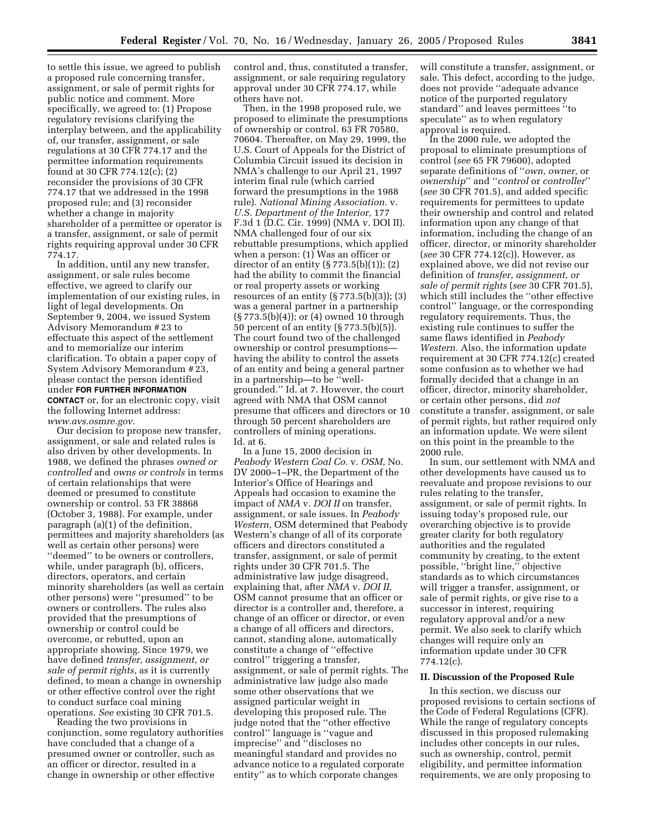to settle this issue, we agreed to publish a proposed rule concerning transfer, assignment, or sale of permit rights for public notice and comment. More specifically, we agreed to: (1) Propose regulatory revisions clarifying the interplay between, and the applicability of, our transfer, assignment, or sale regulations at 30 CFR 774.17 and the permittee information requirements found at 30 CFR 774.12(c); (2) reconsider the provisions of 30 CFR 774.17 that we addressed in the 1998 proposed rule; and (3) reconsider whether a change in majority shareholder of a permittee or operator is a transfer, assignment, or sale of permit rights requiring approval under 30 CFR 774.17.

In addition, until any new transfer, assignment, or sale rules become effective, we agreed to clarify our implementation of our existing rules, in light of legal developments. On September 9, 2004, we issued System Advisory Memorandum # 23 to effectuate this aspect of the settlement and to memorialize our interim clarification. To obtain a paper copy of System Advisory Memorandum # 23, please contact the person identified under **FOR FURTHER INFORMATION CONTACT** or, for an electronic copy, visit the following Internet address: *www.avs.osmre.gov.*

Our decision to propose new transfer, assignment, or sale and related rules is also driven by other developments. In 1988, we defined the phrases *owned or controlled* and *owns or controls* in terms of certain relationships that were deemed or presumed to constitute ownership or control. 53 FR 38868 (October 3, 1988). For example, under paragraph (a)(1) of the definition, permittees and majority shareholders (as well as certain other persons) were ''deemed'' to be owners or controllers, while, under paragraph (b), officers, directors, operators, and certain minority shareholders (as well as certain other persons) were ''presumed'' to be owners or controllers. The rules also provided that the presumptions of ownership or control could be overcome, or rebutted, upon an appropriate showing. Since 1979, we have defined *transfer, assignment, or sale of permit rights,* as it is currently defined, to mean a change in ownership or other effective control over the right to conduct surface coal mining operations. *See* existing 30 CFR 701.5.

Reading the two provisions in conjunction, some regulatory authorities have concluded that a change of a presumed owner or controller, such as an officer or director, resulted in a change in ownership or other effective

control and, thus, constituted a transfer, assignment, or sale requiring regulatory approval under 30 CFR 774.17, while others have not.

Then, in the 1998 proposed rule, we proposed to eliminate the presumptions of ownership or control. 63 FR 70580, 70604. Thereafter, on May 29, 1999, the U.S. Court of Appeals for the District of Columbia Circuit issued its decision in NMA's challenge to our April 21, 1997 interim final rule (which carried forward the presumptions in the 1988 rule). *National Mining Association.* v. *U.S. Department of the Interior,* 177 F.3d 1 (D.C. Cir. 1999) (NMA v. DOI II). NMA challenged four of our six rebuttable presumptions, which applied when a person: (1) Was an officer or director of an entity  $(\S 773.5(b)(1)); (2)$ had the ability to commit the financial or real property assets or working resources of an entity  $(\frac{5}{773.5(b)(3)};$  (3) was a general partner in a partnership (§ 773.5(b)(4)); or (4) owned 10 through 50 percent of an entity (§ 773.5(b)(5)). The court found two of the challenged ownership or control presumptions having the ability to control the assets of an entity and being a general partner in a partnership—to be ''wellgrounded.'' Id. at 7. However, the court agreed with NMA that OSM cannot presume that officers and directors or 10 through 50 percent shareholders are controllers of mining operations. Id. at 6.

In a June 15, 2000 decision in *Peabody Western Coal Co.* v. *OSM,* No. DV 2000–1–PR, the Department of the Interior's Office of Hearings and Appeals had occasion to examine the impact of *NMA* v. *DOI II* on transfer, assignment, or sale issues. In *Peabody Western,* OSM determined that Peabody Western's change of all of its corporate officers and directors constituted a transfer, assignment, or sale of permit rights under 30 CFR 701.5. The administrative law judge disagreed, explaining that, after *NMA* v. *DOI II,* OSM cannot presume that an officer or director is a controller and, therefore, a change of an officer or director, or even a change of all officers and directors, cannot, standing alone, automatically constitute a change of ''effective control'' triggering a transfer, assignment, or sale of permit rights. The administrative law judge also made some other observations that we assigned particular weight in developing this proposed rule. The judge noted that the ''other effective control'' language is ''vague and imprecise'' and ''discloses no meaningful standard and provides no advance notice to a regulated corporate entity'' as to which corporate changes

will constitute a transfer, assignment, or sale. This defect, according to the judge, does not provide ''adequate advance notice of the purported regulatory standard'' and leaves permittees ''to speculate'' as to when regulatory approval is required.

In the 2000 rule, we adopted the proposal to eliminate presumptions of control (*see* 65 FR 79600), adopted separate definitions of ''*own, owner,* or *ownership*'' and ''*control* or *controller*'' (*see* 30 CFR 701.5), and added specific requirements for permittees to update their ownership and control and related information upon any change of that information, including the change of an officer, director, or minority shareholder (*see* 30 CFR 774.12(c)). However, as explained above, we did not revise our definition of *transfer, assignment, or sale of permit rights* (*see* 30 CFR 701.5), which still includes the ''other effective control'' language, or the corresponding regulatory requirements. Thus, the existing rule continues to suffer the same flaws identified in *Peabody Western.* Also, the information update requirement at 30 CFR 774.12(c) created some confusion as to whether we had formally decided that a change in an officer, director, minority shareholder, or certain other persons, did *not* constitute a transfer, assignment, or sale of permit rights, but rather required only an information update. We were silent on this point in the preamble to the 2000 rule.

In sum, our settlement with NMA and other developments have caused us to reevaluate and propose revisions to our rules relating to the transfer, assignment, or sale of permit rights. In issuing today's proposed rule, our overarching objective is to provide greater clarity for both regulatory authorities and the regulated community by creating, to the extent possible, ''bright line,'' objective standards as to which circumstances will trigger a transfer, assignment, or sale of permit rights, or give rise to a successor in interest, requiring regulatory approval and/or a new permit. We also seek to clarify which changes will require only an information update under 30 CFR 774.12(c).

#### **II. Discussion of the Proposed Rule**

In this section, we discuss our proposed revisions to certain sections of the Code of Federal Regulations (CFR). While the range of regulatory concepts discussed in this proposed rulemaking includes other concepts in our rules, such as ownership, control, permit eligibility, and permittee information requirements, we are only proposing to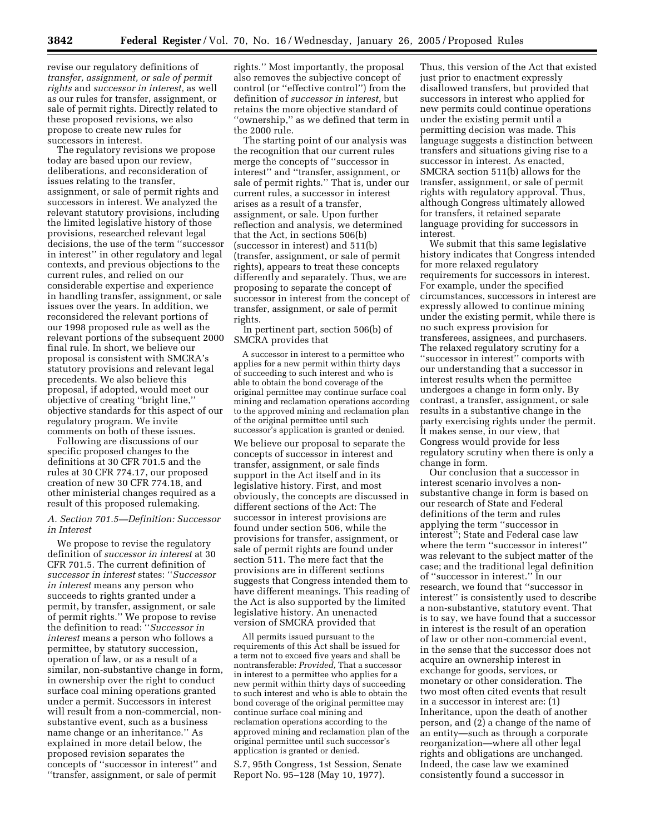revise our regulatory definitions of *transfer, assignment, or sale of permit rights* and *successor in interest,* as well as our rules for transfer, assignment, or sale of permit rights. Directly related to these proposed revisions, we also propose to create new rules for successors in interest.

The regulatory revisions we propose today are based upon our review, deliberations, and reconsideration of issues relating to the transfer, assignment, or sale of permit rights and successors in interest. We analyzed the relevant statutory provisions, including the limited legislative history of those provisions, researched relevant legal decisions, the use of the term ''successor in interest'' in other regulatory and legal contexts, and previous objections to the current rules, and relied on our considerable expertise and experience in handling transfer, assignment, or sale issues over the years. In addition, we reconsidered the relevant portions of our 1998 proposed rule as well as the relevant portions of the subsequent 2000 final rule. In short, we believe our proposal is consistent with SMCRA's statutory provisions and relevant legal precedents. We also believe this proposal, if adopted, would meet our objective of creating ''bright line,'' objective standards for this aspect of our regulatory program. We invite comments on both of these issues.

Following are discussions of our specific proposed changes to the definitions at 30 CFR 701.5 and the rules at 30 CFR 774.17, our proposed creation of new 30 CFR 774.18, and other ministerial changes required as a result of this proposed rulemaking.

## *A. Section 701.5—Definition: Successor in Interest*

We propose to revise the regulatory definition of *successor in interest* at 30 CFR 701.5. The current definition of *successor in interest* states: ''*Successor in interest* means any person who succeeds to rights granted under a permit, by transfer, assignment, or sale of permit rights.'' We propose to revise the definition to read: ''*Successor in interest* means a person who follows a permittee, by statutory succession, operation of law, or as a result of a similar, non-substantive change in form, in ownership over the right to conduct surface coal mining operations granted under a permit. Successors in interest will result from a non-commercial, nonsubstantive event, such as a business name change or an inheritance.'' As explained in more detail below, the proposed revision separates the concepts of ''successor in interest'' and ''transfer, assignment, or sale of permit

rights.'' Most importantly, the proposal also removes the subjective concept of control (or ''effective control'') from the definition of *successor in interest,* but retains the more objective standard of ''ownership,'' as we defined that term in the 2000 rule.

The starting point of our analysis was the recognition that our current rules merge the concepts of ''successor in interest'' and ''transfer, assignment, or sale of permit rights.'' That is, under our current rules, a successor in interest arises as a result of a transfer, assignment, or sale. Upon further reflection and analysis, we determined that the Act, in sections 506(b) (successor in interest) and 511(b) (transfer, assignment, or sale of permit rights), appears to treat these concepts differently and separately. Thus, we are proposing to separate the concept of successor in interest from the concept of transfer, assignment, or sale of permit rights.

In pertinent part, section 506(b) of SMCRA provides that

A successor in interest to a permittee who applies for a new permit within thirty days of succeeding to such interest and who is able to obtain the bond coverage of the original permittee may continue surface coal mining and reclamation operations according to the approved mining and reclamation plan of the original permittee until such successor's application is granted or denied.

We believe our proposal to separate the concepts of successor in interest and transfer, assignment, or sale finds support in the Act itself and in its legislative history. First, and most obviously, the concepts are discussed in different sections of the Act: The successor in interest provisions are found under section 506, while the provisions for transfer, assignment, or sale of permit rights are found under section 511. The mere fact that the provisions are in different sections suggests that Congress intended them to have different meanings. This reading of the Act is also supported by the limited legislative history. An unenacted version of SMCRA provided that

All permits issued pursuant to the requirements of this Act shall be issued for a term not to exceed five years and shall be nontransferable: *Provided,* That a successor in interest to a permittee who applies for a new permit within thirty days of succeeding to such interest and who is able to obtain the bond coverage of the original permittee may continue surface coal mining and reclamation operations according to the approved mining and reclamation plan of the original permittee until such successor's application is granted or denied.

S.7, 95th Congress, 1st Session, Senate Report No. 95–128 (May 10, 1977).

Thus, this version of the Act that existed just prior to enactment expressly disallowed transfers, but provided that successors in interest who applied for new permits could continue operations under the existing permit until a permitting decision was made. This language suggests a distinction between transfers and situations giving rise to a successor in interest. As enacted, SMCRA section 511(b) allows for the transfer, assignment, or sale of permit rights with regulatory approval. Thus, although Congress ultimately allowed for transfers, it retained separate language providing for successors in interest.

We submit that this same legislative history indicates that Congress intended for more relaxed regulatory requirements for successors in interest. For example, under the specified circumstances, successors in interest are expressly allowed to continue mining under the existing permit, while there is no such express provision for transferees, assignees, and purchasers. The relaxed regulatory scrutiny for a ''successor in interest'' comports with our understanding that a successor in interest results when the permittee undergoes a change in form only. By contrast, a transfer, assignment, or sale results in a substantive change in the party exercising rights under the permit. It makes sense, in our view, that Congress would provide for less regulatory scrutiny when there is only a change in form.

Our conclusion that a successor in interest scenario involves a nonsubstantive change in form is based on our research of State and Federal definitions of the term and rules applying the term ''successor in interest''; State and Federal case law where the term ''successor in interest'' was relevant to the subject matter of the case; and the traditional legal definition of ''successor in interest.'' In our research, we found that ''successor in interest'' is consistently used to describe a non-substantive, statutory event. That is to say, we have found that a successor in interest is the result of an operation of law or other non-commercial event, in the sense that the successor does not acquire an ownership interest in exchange for goods, services, or monetary or other consideration. The two most often cited events that result in a successor in interest are: (1) Inheritance, upon the death of another person, and (2) a change of the name of an entity—such as through a corporate reorganization—where all other legal rights and obligations are unchanged. Indeed, the case law we examined consistently found a successor in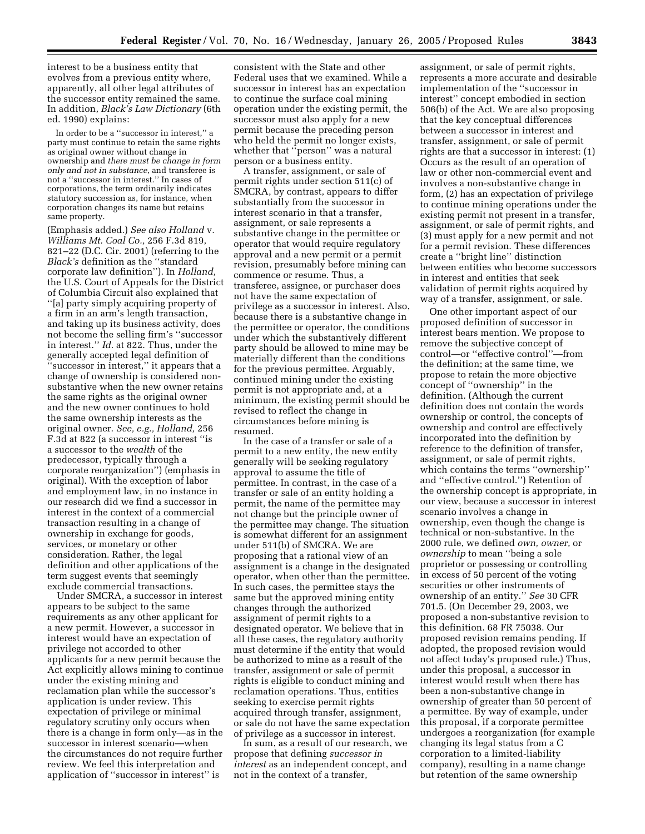interest to be a business entity that evolves from a previous entity where, apparently, all other legal attributes of the successor entity remained the same. In addition, *Black's Law Dictionary* (6th ed. 1990) explains:

In order to be a ''successor in interest,'' a party must continue to retain the same rights as original owner without change in ownership and *there must be change in form only and not in substance*, and transferee is not a ''successor in interest.'' In cases of corporations, the term ordinarily indicates statutory succession as, for instance, when corporation changes its name but retains same property.

(Emphasis added.) *See also Holland* v. *Williams Mt. Coal Co.,* 256 F.3d 819, 821–22 (D.C. Cir. 2001) (referring to the *Black's* definition as the ''standard corporate law definition''). In *Holland,* the U.S. Court of Appeals for the District of Columbia Circuit also explained that ''[a] party simply acquiring property of a firm in an arm's length transaction, and taking up its business activity, does not become the selling firm's ''successor in interest.'' *Id.* at 822. Thus, under the generally accepted legal definition of 'successor in interest," it appears that a change of ownership is considered nonsubstantive when the new owner retains the same rights as the original owner and the new owner continues to hold the same ownership interests as the original owner. *See, e.g., Holland,* 256 F.3d at 822 (a successor in interest ''is a successor to the *wealth* of the predecessor, typically through a corporate reorganization'') (emphasis in original). With the exception of labor and employment law, in no instance in our research did we find a successor in interest in the context of a commercial transaction resulting in a change of ownership in exchange for goods, services, or monetary or other consideration. Rather, the legal definition and other applications of the term suggest events that seemingly exclude commercial transactions.

Under SMCRA, a successor in interest appears to be subject to the same requirements as any other applicant for a new permit. However, a successor in interest would have an expectation of privilege not accorded to other applicants for a new permit because the Act explicitly allows mining to continue under the existing mining and reclamation plan while the successor's application is under review. This expectation of privilege or minimal regulatory scrutiny only occurs when there is a change in form only—as in the successor in interest scenario—when the circumstances do not require further review. We feel this interpretation and application of ''successor in interest'' is

consistent with the State and other Federal uses that we examined. While a successor in interest has an expectation to continue the surface coal mining operation under the existing permit, the successor must also apply for a new permit because the preceding person who held the permit no longer exists, whether that ''person'' was a natural person or a business entity.

A transfer, assignment, or sale of permit rights under section 511(c) of SMCRA, by contrast, appears to differ substantially from the successor in interest scenario in that a transfer, assignment, or sale represents a substantive change in the permittee or operator that would require regulatory approval and a new permit or a permit revision, presumably before mining can commence or resume. Thus, a transferee, assignee, or purchaser does not have the same expectation of privilege as a successor in interest. Also, because there is a substantive change in the permittee or operator, the conditions under which the substantively different party should be allowed to mine may be materially different than the conditions for the previous permittee. Arguably, continued mining under the existing permit is not appropriate and, at a minimum, the existing permit should be revised to reflect the change in circumstances before mining is resumed.

In the case of a transfer or sale of a permit to a new entity, the new entity generally will be seeking regulatory approval to assume the title of permittee. In contrast, in the case of a transfer or sale of an entity holding a permit, the name of the permittee may not change but the principle owner of the permittee may change. The situation is somewhat different for an assignment under 511(b) of SMCRA. We are proposing that a rational view of an assignment is a change in the designated operator, when other than the permittee. In such cases, the permittee stays the same but the approved mining entity changes through the authorized assignment of permit rights to a designated operator. We believe that in all these cases, the regulatory authority must determine if the entity that would be authorized to mine as a result of the transfer, assignment or sale of permit rights is eligible to conduct mining and reclamation operations. Thus, entities seeking to exercise permit rights acquired through transfer, assignment, or sale do not have the same expectation of privilege as a successor in interest.

In sum, as a result of our research, we propose that defining *successor in interest* as an independent concept, and not in the context of a transfer,

assignment, or sale of permit rights, represents a more accurate and desirable implementation of the ''successor in interest'' concept embodied in section 506(b) of the Act. We are also proposing that the key conceptual differences between a successor in interest and transfer, assignment, or sale of permit rights are that a successor in interest: (1) Occurs as the result of an operation of law or other non-commercial event and involves a non-substantive change in form, (2) has an expectation of privilege to continue mining operations under the existing permit not present in a transfer, assignment, or sale of permit rights, and (3) must apply for a new permit and not for a permit revision. These differences create a ''bright line'' distinction between entities who become successors in interest and entities that seek validation of permit rights acquired by way of a transfer, assignment, or sale.

One other important aspect of our proposed definition of successor in interest bears mention. We propose to remove the subjective concept of control—or ''effective control''—from the definition; at the same time, we propose to retain the more objective concept of ''ownership'' in the definition. (Although the current definition does not contain the words ownership or control, the concepts of ownership and control are effectively incorporated into the definition by reference to the definition of transfer, assignment, or sale of permit rights, which contains the terms ''ownership'' and ''effective control.'') Retention of the ownership concept is appropriate, in our view, because a successor in interest scenario involves a change in ownership, even though the change is technical or non-substantive. In the 2000 rule, we defined *own, owner,* or *ownership* to mean ''being a sole proprietor or possessing or controlling in excess of 50 percent of the voting securities or other instruments of ownership of an entity.'' *See* 30 CFR 701.5. (On December 29, 2003, we proposed a non-substantive revision to this definition. 68 FR 75038. Our proposed revision remains pending. If adopted, the proposed revision would not affect today's proposed rule.) Thus, under this proposal, a successor in interest would result when there has been a non-substantive change in ownership of greater than 50 percent of a permittee. By way of example, under this proposal, if a corporate permittee undergoes a reorganization (for example changing its legal status from a C corporation to a limited-liability company), resulting in a name change but retention of the same ownership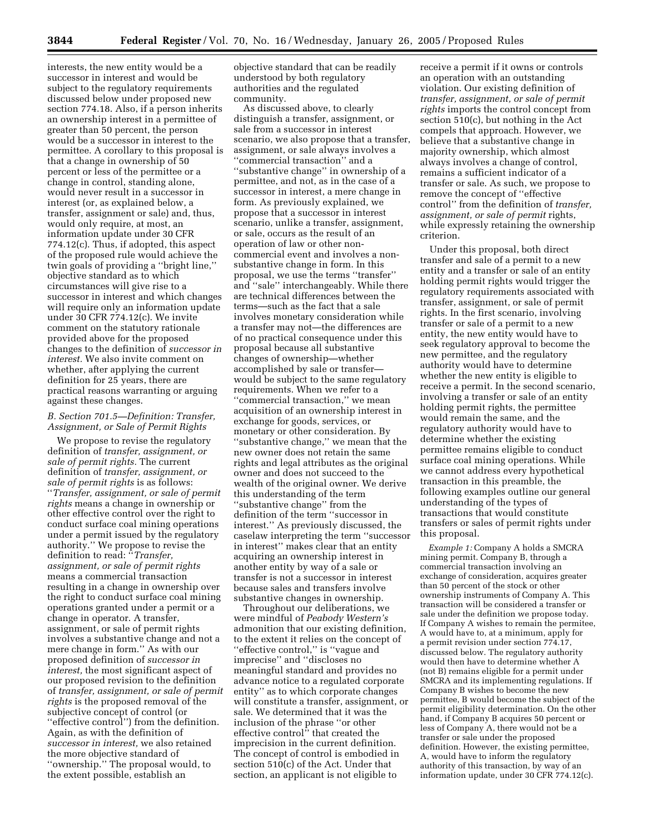interests, the new entity would be a successor in interest and would be subject to the regulatory requirements discussed below under proposed new section 774.18. Also, if a person inherits an ownership interest in a permittee of greater than 50 percent, the person would be a successor in interest to the permittee. A corollary to this proposal is that a change in ownership of 50 percent or less of the permittee or a change in control, standing alone, would never result in a successor in interest (or, as explained below, a transfer, assignment or sale) and, thus, would only require, at most, an information update under 30 CFR 774.12(c). Thus, if adopted, this aspect of the proposed rule would achieve the twin goals of providing a ''bright line,'' objective standard as to which circumstances will give rise to a successor in interest and which changes will require only an information update under 30 CFR 774.12(c). We invite comment on the statutory rationale provided above for the proposed changes to the definition of *successor in interest.* We also invite comment on whether, after applying the current definition for 25 years, there are practical reasons warranting or arguing against these changes.

# *B. Section 701.5—Definition: Transfer, Assignment, or Sale of Permit Rights*

We propose to revise the regulatory definition of *transfer, assignment, or sale of permit rights.* The current definition of *transfer, assignment, or sale of permit rights* is as follows: ''*Transfer, assignment, or sale of permit rights* means a change in ownership or other effective control over the right to conduct surface coal mining operations under a permit issued by the regulatory authority.'' We propose to revise the definition to read: ''*Transfer, assignment, or sale of permit rights* means a commercial transaction resulting in a change in ownership over the right to conduct surface coal mining operations granted under a permit or a change in operator. A transfer, assignment, or sale of permit rights involves a substantive change and not a mere change in form.'' As with our proposed definition of *successor in interest,* the most significant aspect of our proposed revision to the definition of *transfer, assignment, or sale of permit rights* is the proposed removal of the subjective concept of control (or ''effective control'') from the definition. Again, as with the definition of *successor in interest,* we also retained the more objective standard of ''ownership.'' The proposal would, to the extent possible, establish an

objective standard that can be readily understood by both regulatory authorities and the regulated community.

As discussed above, to clearly distinguish a transfer, assignment, or sale from a successor in interest scenario, we also propose that a transfer, assignment, or sale always involves a ''commercial transaction'' and a ''substantive change'' in ownership of a permittee, and not, as in the case of a successor in interest, a mere change in form. As previously explained, we propose that a successor in interest scenario, unlike a transfer, assignment, or sale, occurs as the result of an operation of law or other noncommercial event and involves a nonsubstantive change in form. In this proposal, we use the terms ''transfer'' and ''sale'' interchangeably. While there are technical differences between the terms—such as the fact that a sale involves monetary consideration while a transfer may not—the differences are of no practical consequence under this proposal because all substantive changes of ownership—whether accomplished by sale or transfer would be subject to the same regulatory requirements. When we refer to a ''commercial transaction,'' we mean acquisition of an ownership interest in exchange for goods, services, or monetary or other consideration. By ''substantive change,'' we mean that the new owner does not retain the same rights and legal attributes as the original owner and does not succeed to the wealth of the original owner. We derive this understanding of the term ''substantive change'' from the definition of the term ''successor in interest.'' As previously discussed, the caselaw interpreting the term ''successor in interest'' makes clear that an entity acquiring an ownership interest in another entity by way of a sale or transfer is not a successor in interest because sales and transfers involve substantive changes in ownership.

Throughout our deliberations, we were mindful of *Peabody Western's* admonition that our existing definition, to the extent it relies on the concept of ''effective control,'' is ''vague and imprecise'' and ''discloses no meaningful standard and provides no advance notice to a regulated corporate entity'' as to which corporate changes will constitute a transfer, assignment, or sale. We determined that it was the inclusion of the phrase ''or other effective control<sup>"</sup> that created the imprecision in the current definition. The concept of control is embodied in section 510(c) of the Act. Under that section, an applicant is not eligible to

receive a permit if it owns or controls an operation with an outstanding violation. Our existing definition of *transfer, assignment, or sale of permit rights* imports the control concept from section 510(c), but nothing in the Act compels that approach. However, we believe that a substantive change in majority ownership, which almost always involves a change of control, remains a sufficient indicator of a transfer or sale. As such, we propose to remove the concept of ''effective control'' from the definition of *transfer, assignment, or sale of permit* rights, while expressly retaining the ownership criterion.

Under this proposal, both direct transfer and sale of a permit to a new entity and a transfer or sale of an entity holding permit rights would trigger the regulatory requirements associated with transfer, assignment, or sale of permit rights. In the first scenario, involving transfer or sale of a permit to a new entity, the new entity would have to seek regulatory approval to become the new permittee, and the regulatory authority would have to determine whether the new entity is eligible to receive a permit. In the second scenario, involving a transfer or sale of an entity holding permit rights, the permittee would remain the same, and the regulatory authority would have to determine whether the existing permittee remains eligible to conduct surface coal mining operations. While we cannot address every hypothetical transaction in this preamble, the following examples outline our general understanding of the types of transactions that would constitute transfers or sales of permit rights under this proposal.

*Example 1:* Company A holds a SMCRA mining permit. Company B, through a commercial transaction involving an exchange of consideration, acquires greater than 50 percent of the stock or other ownership instruments of Company A. This transaction will be considered a transfer or sale under the definition we propose today. If Company A wishes to remain the permitee, A would have to, at a minimum, apply for a permit revision under section 774.17, discussed below. The regulatory authority would then have to determine whether A (not B) remains eligible for a permit under SMCRA and its implementing regulations. If Company B wishes to become the new permittee, B would become the subject of the permit eligibility determination. On the other hand, if Company B acquires 50 percent or less of Company A, there would not be a transfer or sale under the proposed definition. However, the existing permittee, A, would have to inform the regulatory authority of this transaction, by way of an information update, under 30 CFR 774.12(c).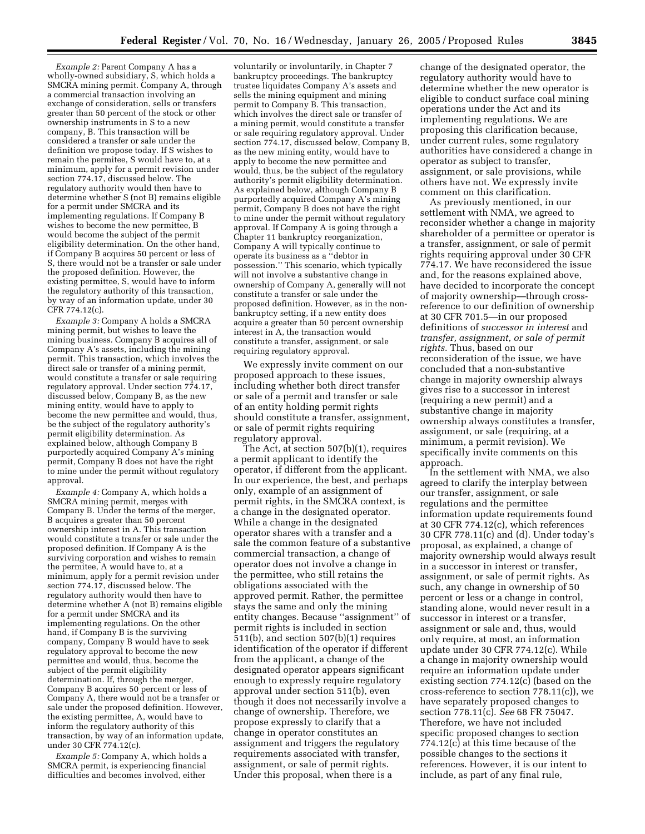*Example 2:* Parent Company A has a wholly-owned subsidiary, S, which holds a SMCRA mining permit. Company A, through a commercial transaction involving an exchange of consideration, sells or transfers greater than 50 percent of the stock or other ownership instruments in S to a new company, B. This transaction will be considered a transfer or sale under the definition we propose today. If S wishes to remain the permitee, S would have to, at a minimum, apply for a permit revision under section 774.17, discussed below. The regulatory authority would then have to determine whether S (not B) remains eligible for a permit under SMCRA and its implementing regulations. If Company B wishes to become the new permittee, B would become the subject of the permit eligibility determination. On the other hand, if Company B acquires 50 percent or less of S, there would not be a transfer or sale under the proposed definition. However, the existing permittee, S, would have to inform the regulatory authority of this transaction, by way of an information update, under 30 CFR 774.12(c).

*Example 3:* Company A holds a SMCRA mining permit, but wishes to leave the mining business. Company B acquires all of Company A's assets, including the mining permit. This transaction, which involves the direct sale or transfer of a mining permit, would constitute a transfer or sale requiring regulatory approval. Under section 774.17, discussed below, Company B, as the new mining entity, would have to apply to become the new permittee and would, thus, be the subject of the regulatory authority's permit eligibility determination. As explained below, although Company B purportedly acquired Company A's mining permit, Company B does not have the right to mine under the permit without regulatory approval.

*Example 4:* Company A, which holds a SMCRA mining permit, merges with Company B. Under the terms of the merger, B acquires a greater than 50 percent ownership interest in A. This transaction would constitute a transfer or sale under the proposed definition. If Company A is the surviving corporation and wishes to remain the permitee, A would have to, at a minimum, apply for a permit revision under section 774.17, discussed below. The regulatory authority would then have to determine whether A (not B) remains eligible for a permit under SMCRA and its implementing regulations. On the other hand, if Company B is the surviving company, Company B would have to seek regulatory approval to become the new permittee and would, thus, become the subject of the permit eligibility determination. If, through the merger, Company B acquires 50 percent or less of Company A, there would not be a transfer or sale under the proposed definition. However, the existing permittee, A, would have to inform the regulatory authority of this transaction, by way of an information update, under 30 CFR 774.12(c).

*Example 5:* Company A, which holds a SMCRA permit, is experiencing financial difficulties and becomes involved, either

voluntarily or involuntarily, in Chapter 7 bankruptcy proceedings. The bankruptcy trustee liquidates Company A's assets and sells the mining equipment and mining permit to Company B. This transaction, which involves the direct sale or transfer of a mining permit, would constitute a transfer or sale requiring regulatory approval. Under section 774.17, discussed below, Company B, as the new mining entity, would have to apply to become the new permittee and would, thus, be the subject of the regulatory authority's permit eligibility determination. As explained below, although Company B purportedly acquired Company A's mining permit, Company B does not have the right to mine under the permit without regulatory approval. If Company A is going through a Chapter 11 bankruptcy reorganization, Company A will typically continue to operate its business as a ''debtor in possession.'' This scenario, which typically will not involve a substantive change in ownership of Company A, generally will not constitute a transfer or sale under the proposed definition. However, as in the nonbankruptcy setting, if a new entity does acquire a greater than 50 percent ownership interest in A, the transaction would constitute a transfer, assignment, or sale requiring regulatory approval.

We expressly invite comment on our proposed approach to these issues, including whether both direct transfer or sale of a permit and transfer or sale of an entity holding permit rights should constitute a transfer, assignment, or sale of permit rights requiring regulatory approval.

The Act, at section 507(b)(1), requires a permit applicant to identify the operator, if different from the applicant. In our experience, the best, and perhaps only, example of an assignment of permit rights, in the SMCRA context, is a change in the designated operator. While a change in the designated operator shares with a transfer and a sale the common feature of a substantive commercial transaction, a change of operator does not involve a change in the permittee, who still retains the obligations associated with the approved permit. Rather, the permittee stays the same and only the mining entity changes. Because ''assignment'' of permit rights is included in section 511(b), and section 507(b)(1) requires identification of the operator if different from the applicant, a change of the designated operator appears significant enough to expressly require regulatory approval under section 511(b), even though it does not necessarily involve a change of ownership. Therefore, we propose expressly to clarify that a change in operator constitutes an assignment and triggers the regulatory requirements associated with transfer, assignment, or sale of permit rights. Under this proposal, when there is a

change of the designated operator, the regulatory authority would have to determine whether the new operator is eligible to conduct surface coal mining operations under the Act and its implementing regulations. We are proposing this clarification because, under current rules, some regulatory authorities have considered a change in operator as subject to transfer, assignment, or sale provisions, while others have not. We expressly invite comment on this clarification.

As previously mentioned, in our settlement with NMA, we agreed to reconsider whether a change in majority shareholder of a permittee or operator is a transfer, assignment, or sale of permit rights requiring approval under 30 CFR 774.17. We have reconsidered the issue and, for the reasons explained above, have decided to incorporate the concept of majority ownership—through crossreference to our definition of ownership at 30 CFR 701.5—in our proposed definitions of *successor in interest* and *transfer, assignment, or sale of permit rights.* Thus, based on our reconsideration of the issue, we have concluded that a non-substantive change in majority ownership always gives rise to a successor in interest (requiring a new permit) and a substantive change in majority ownership always constitutes a transfer, assignment, or sale (requiring, at a minimum, a permit revision). We specifically invite comments on this approach.

In the settlement with NMA, we also agreed to clarify the interplay between our transfer, assignment, or sale regulations and the permittee information update requirements found at 30 CFR 774.12(c), which references 30 CFR 778.11(c) and (d). Under today's proposal, as explained, a change of majority ownership would always result in a successor in interest or transfer, assignment, or sale of permit rights. As such, any change in ownership of 50 percent or less or a change in control, standing alone, would never result in a successor in interest or a transfer, assignment or sale and, thus, would only require, at most, an information update under 30 CFR 774.12(c). While a change in majority ownership would require an information update under existing section 774.12(c) (based on the cross-reference to section 778.11(c)), we have separately proposed changes to section 778.11(c). *See* 68 FR 75047. Therefore, we have not included specific proposed changes to section 774.12(c) at this time because of the possible changes to the sections it references. However, it is our intent to include, as part of any final rule,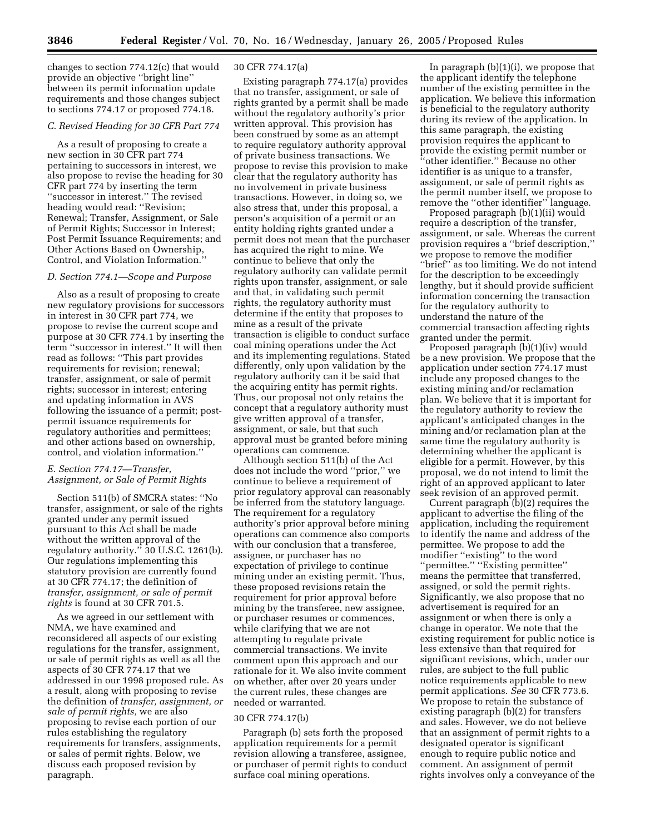changes to section 774.12(c) that would provide an objective ''bright line'' between its permit information update requirements and those changes subject to sections 774.17 or proposed 774.18.

# *C. Revised Heading for 30 CFR Part 774*

As a result of proposing to create a new section in 30 CFR part 774 pertaining to successors in interest, we also propose to revise the heading for 30 CFR part 774 by inserting the term ''successor in interest.'' The revised heading would read: ''Revision; Renewal; Transfer, Assignment, or Sale of Permit Rights; Successor in Interest; Post Permit Issuance Requirements; and Other Actions Based on Ownership, Control, and Violation Information.''

# *D. Section 774.1—Scope and Purpose*

Also as a result of proposing to create new regulatory provisions for successors in interest in 30 CFR part 774, we propose to revise the current scope and purpose at 30 CFR 774.1 by inserting the term ''successor in interest.'' It will then read as follows: ''This part provides requirements for revision; renewal; transfer, assignment, or sale of permit rights; successor in interest; entering and updating information in AVS following the issuance of a permit; postpermit issuance requirements for regulatory authorities and permittees; and other actions based on ownership, control, and violation information.''

# *E. Section 774.17—Transfer, Assignment, or Sale of Permit Rights*

Section 511(b) of SMCRA states: ''No transfer, assignment, or sale of the rights granted under any permit issued pursuant to this Act shall be made without the written approval of the regulatory authority.'' 30 U.S.C. 1261(b). Our regulations implementing this statutory provision are currently found at 30 CFR 774.17; the definition of *transfer, assignment, or sale of permit rights* is found at 30 CFR 701.5.

As we agreed in our settlement with NMA, we have examined and reconsidered all aspects of our existing regulations for the transfer, assignment, or sale of permit rights as well as all the aspects of 30 CFR 774.17 that we addressed in our 1998 proposed rule. As a result, along with proposing to revise the definition of *transfer, assignment, or sale of permit rights,* we are also proposing to revise each portion of our rules establishing the regulatory requirements for transfers, assignments, or sales of permit rights. Below, we discuss each proposed revision by paragraph.

## 30 CFR 774.17(a)

Existing paragraph 774.17(a) provides that no transfer, assignment, or sale of rights granted by a permit shall be made without the regulatory authority's prior written approval. This provision has been construed by some as an attempt to require regulatory authority approval of private business transactions. We propose to revise this provision to make clear that the regulatory authority has no involvement in private business transactions. However, in doing so, we also stress that, under this proposal, a person's acquisition of a permit or an entity holding rights granted under a permit does not mean that the purchaser has acquired the right to mine. We continue to believe that only the regulatory authority can validate permit rights upon transfer, assignment, or sale and that, in validating such permit rights, the regulatory authority must determine if the entity that proposes to mine as a result of the private transaction is eligible to conduct surface coal mining operations under the Act and its implementing regulations. Stated differently, only upon validation by the regulatory authority can it be said that the acquiring entity has permit rights. Thus, our proposal not only retains the concept that a regulatory authority must give written approval of a transfer, assignment, or sale, but that such approval must be granted before mining operations can commence.

Although section 511(b) of the Act does not include the word ''prior,'' we continue to believe a requirement of prior regulatory approval can reasonably be inferred from the statutory language. The requirement for a regulatory authority's prior approval before mining operations can commence also comports with our conclusion that a transferee, assignee, or purchaser has no expectation of privilege to continue mining under an existing permit. Thus, these proposed revisions retain the requirement for prior approval before mining by the transferee, new assignee, or purchaser resumes or commences, while clarifying that we are not attempting to regulate private commercial transactions. We invite comment upon this approach and our rationale for it. We also invite comment on whether, after over 20 years under the current rules, these changes are needed or warranted.

#### 30 CFR 774.17(b)

Paragraph (b) sets forth the proposed application requirements for a permit revision allowing a transferee, assignee, or purchaser of permit rights to conduct surface coal mining operations.

In paragraph  $(b)(1)(i)$ , we propose that the applicant identify the telephone number of the existing permittee in the application. We believe this information is beneficial to the regulatory authority during its review of the application. In this same paragraph, the existing provision requires the applicant to provide the existing permit number or ''other identifier.'' Because no other identifier is as unique to a transfer, assignment, or sale of permit rights as the permit number itself, we propose to remove the ''other identifier'' language.

Proposed paragraph (b)(1)(ii) would require a description of the transfer, assignment, or sale. Whereas the current provision requires a ''brief description,'' we propose to remove the modifier "brief" as too limiting. We do not intend for the description to be exceedingly lengthy, but it should provide sufficient information concerning the transaction for the regulatory authority to understand the nature of the commercial transaction affecting rights granted under the permit.

Proposed paragraph (b)(1)(iv) would be a new provision. We propose that the application under section 774.17 must include any proposed changes to the existing mining and/or reclamation plan. We believe that it is important for the regulatory authority to review the applicant's anticipated changes in the mining and/or reclamation plan at the same time the regulatory authority is determining whether the applicant is eligible for a permit. However, by this proposal, we do not intend to limit the right of an approved applicant to later seek revision of an approved permit.

Current paragraph (b)(2) requires the applicant to advertise the filing of the application, including the requirement to identify the name and address of the permittee. We propose to add the modifier ''existing'' to the word ''permittee.'' ''Existing permittee'' means the permittee that transferred, assigned, or sold the permit rights. Significantly, we also propose that no advertisement is required for an assignment or when there is only a change in operator. We note that the existing requirement for public notice is less extensive than that required for significant revisions, which, under our rules, are subject to the full public notice requirements applicable to new permit applications. *See* 30 CFR 773.6. We propose to retain the substance of existing paragraph (b)(2) for transfers and sales. However, we do not believe that an assignment of permit rights to a designated operator is significant enough to require public notice and comment. An assignment of permit rights involves only a conveyance of the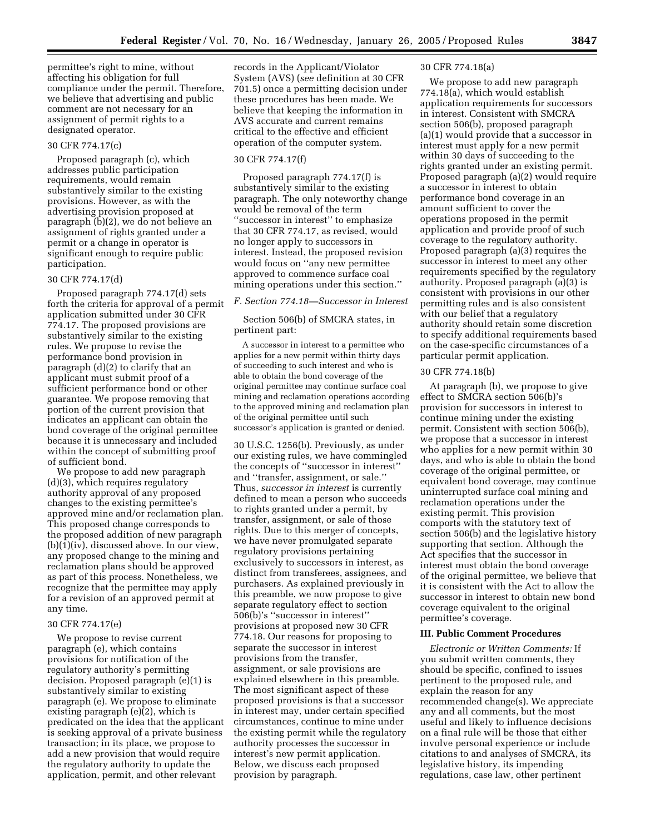permittee's right to mine, without affecting his obligation for full compliance under the permit. Therefore, we believe that advertising and public comment are not necessary for an assignment of permit rights to a designated operator.

# 30 CFR 774.17(c)

Proposed paragraph (c), which addresses public participation requirements, would remain substantively similar to the existing provisions. However, as with the advertising provision proposed at paragraph (b)(2), we do not believe an assignment of rights granted under a permit or a change in operator is significant enough to require public participation.

#### 30 CFR 774.17(d)

Proposed paragraph 774.17(d) sets forth the criteria for approval of a permit application submitted under 30 CFR 774.17. The proposed provisions are substantively similar to the existing rules. We propose to revise the performance bond provision in paragraph (d)(2) to clarify that an applicant must submit proof of a sufficient performance bond or other guarantee. We propose removing that portion of the current provision that indicates an applicant can obtain the bond coverage of the original permittee because it is unnecessary and included within the concept of submitting proof of sufficient bond.

We propose to add new paragraph (d)(3), which requires regulatory authority approval of any proposed changes to the existing permittee's approved mine and/or reclamation plan. This proposed change corresponds to the proposed addition of new paragraph (b)(1)(iv), discussed above. In our view, any proposed change to the mining and reclamation plans should be approved as part of this process. Nonetheless, we recognize that the permittee may apply for a revision of an approved permit at any time.

#### 30 CFR 774.17(e)

We propose to revise current paragraph (e), which contains provisions for notification of the regulatory authority's permitting decision. Proposed paragraph (e)(1) is substantively similar to existing paragraph (e). We propose to eliminate existing paragraph (e)(2), which is predicated on the idea that the applicant is seeking approval of a private business transaction; in its place, we propose to add a new provision that would require the regulatory authority to update the application, permit, and other relevant

records in the Applicant/Violator System (AVS) (*see* definition at 30 CFR 701.5) once a permitting decision under these procedures has been made. We believe that keeping the information in AVS accurate and current remains critical to the effective and efficient operation of the computer system.

#### 30 CFR 774.17(f)

Proposed paragraph 774.17(f) is substantively similar to the existing paragraph. The only noteworthy change would be removal of the term ''successor in interest'' to emphasize that 30 CFR 774.17, as revised, would no longer apply to successors in interest. Instead, the proposed revision would focus on ''any new permittee approved to commence surface coal mining operations under this section.''

#### *F. Section 774.18—Successor in Interest*

Section 506(b) of SMCRA states, in pertinent part:

A successor in interest to a permittee who applies for a new permit within thirty days of succeeding to such interest and who is able to obtain the bond coverage of the original permittee may continue surface coal mining and reclamation operations according to the approved mining and reclamation plan of the original permittee until such successor's application is granted or denied.

30 U.S.C. 1256(b). Previously, as under our existing rules, we have commingled the concepts of ''successor in interest'' and ''transfer, assignment, or sale.'' Thus, *successor in interest* is currently defined to mean a person who succeeds to rights granted under a permit, by transfer, assignment, or sale of those rights. Due to this merger of concepts, we have never promulgated separate regulatory provisions pertaining exclusively to successors in interest, as distinct from transferees, assignees, and purchasers. As explained previously in this preamble, we now propose to give separate regulatory effect to section 506(b)'s ''successor in interest'' provisions at proposed new 30 CFR 774.18. Our reasons for proposing to separate the successor in interest provisions from the transfer, assignment, or sale provisions are explained elsewhere in this preamble. The most significant aspect of these proposed provisions is that a successor in interest may, under certain specified circumstances, continue to mine under the existing permit while the regulatory authority processes the successor in interest's new permit application. Below, we discuss each proposed provision by paragraph.

## 30 CFR 774.18(a)

We propose to add new paragraph 774.18(a), which would establish application requirements for successors in interest. Consistent with SMCRA section 506(b), proposed paragraph (a)(1) would provide that a successor in interest must apply for a new permit within 30 days of succeeding to the rights granted under an existing permit. Proposed paragraph (a)(2) would require a successor in interest to obtain performance bond coverage in an amount sufficient to cover the operations proposed in the permit application and provide proof of such coverage to the regulatory authority. Proposed paragraph (a)(3) requires the successor in interest to meet any other requirements specified by the regulatory authority. Proposed paragraph (a)(3) is consistent with provisions in our other permitting rules and is also consistent with our belief that a regulatory authority should retain some discretion to specify additional requirements based on the case-specific circumstances of a particular permit application.

# 30 CFR 774.18(b)

At paragraph (b), we propose to give effect to SMCRA section 506(b)'s provision for successors in interest to continue mining under the existing permit. Consistent with section 506(b), we propose that a successor in interest who applies for a new permit within 30 days, and who is able to obtain the bond coverage of the original permittee, or equivalent bond coverage, may continue uninterrupted surface coal mining and reclamation operations under the existing permit. This provision comports with the statutory text of section 506(b) and the legislative history supporting that section. Although the Act specifies that the successor in interest must obtain the bond coverage of the original permittee, we believe that it is consistent with the Act to allow the successor in interest to obtain new bond coverage equivalent to the original permittee's coverage.

# **III. Public Comment Procedures**

*Electronic or Written Comments:* If you submit written comments, they should be specific, confined to issues pertinent to the proposed rule, and explain the reason for any recommended change(s). We appreciate any and all comments, but the most useful and likely to influence decisions on a final rule will be those that either involve personal experience or include citations to and analyses of SMCRA, its legislative history, its impending regulations, case law, other pertinent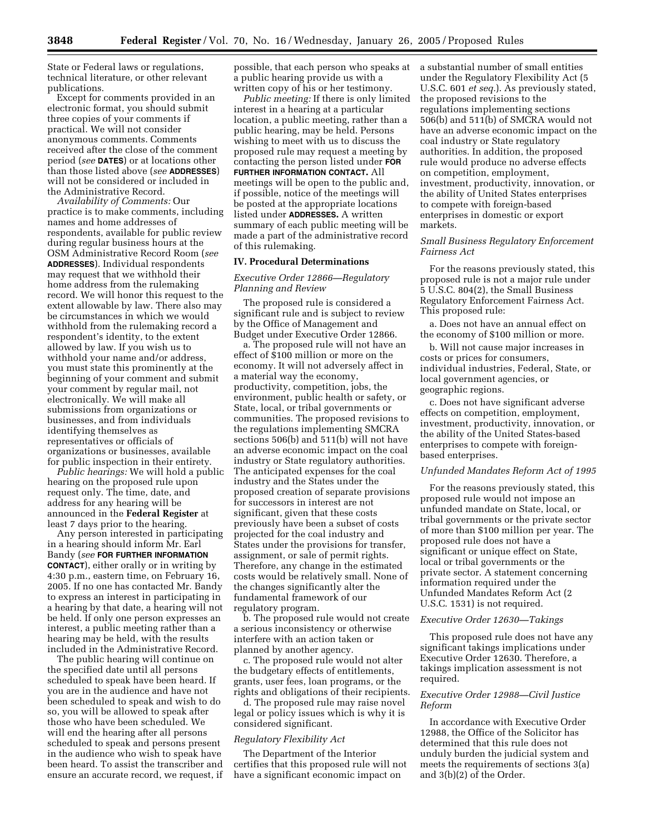State or Federal laws or regulations, technical literature, or other relevant publications.

Except for comments provided in an electronic format, you should submit three copies of your comments if practical. We will not consider anonymous comments. Comments received after the close of the comment period (*see* **DATES**) or at locations other than those listed above (*see* **ADDRESSES**) will not be considered or included in the Administrative Record.

*Availability of Comments:* Our practice is to make comments, including names and home addresses of respondents, available for public review during regular business hours at the OSM Administrative Record Room (*see* **ADDRESSES**). Individual respondents may request that we withhold their home address from the rulemaking record. We will honor this request to the extent allowable by law. There also may be circumstances in which we would withhold from the rulemaking record a respondent's identity, to the extent allowed by law. If you wish us to withhold your name and/or address, you must state this prominently at the beginning of your comment and submit your comment by regular mail, not electronically. We will make all submissions from organizations or businesses, and from individuals identifying themselves as representatives or officials of organizations or businesses, available for public inspection in their entirety.

*Public hearings:* We will hold a public hearing on the proposed rule upon request only. The time, date, and address for any hearing will be announced in the **Federal Register** at least 7 days prior to the hearing.

Any person interested in participating in a hearing should inform Mr. Earl Bandy (*see* **FOR FURTHER INFORMATION CONTACT**), either orally or in writing by 4:30 p.m., eastern time, on February 16, 2005. If no one has contacted Mr. Bandy to express an interest in participating in a hearing by that date, a hearing will not be held. If only one person expresses an interest, a public meeting rather than a hearing may be held, with the results included in the Administrative Record.

The public hearing will continue on the specified date until all persons scheduled to speak have been heard. If you are in the audience and have not been scheduled to speak and wish to do so, you will be allowed to speak after those who have been scheduled. We will end the hearing after all persons scheduled to speak and persons present in the audience who wish to speak have been heard. To assist the transcriber and ensure an accurate record, we request, if possible, that each person who speaks at a public hearing provide us with a written copy of his or her testimony.

*Public meeting:* If there is only limited interest in a hearing at a particular location, a public meeting, rather than a public hearing, may be held. Persons wishing to meet with us to discuss the proposed rule may request a meeting by contacting the person listed under **FOR FURTHER INFORMATION CONTACT.** All meetings will be open to the public and, if possible, notice of the meetings will be posted at the appropriate locations listed under **ADDRESSES.** A written summary of each public meeting will be made a part of the administrative record of this rulemaking.

## **IV. Procedural Determinations**

# *Executive Order 12866—Regulatory Planning and Review*

The proposed rule is considered a significant rule and is subject to review by the Office of Management and Budget under Executive Order 12866.

a. The proposed rule will not have an effect of \$100 million or more on the economy. It will not adversely affect in a material way the economy, productivity, competition, jobs, the environment, public health or safety, or State, local, or tribal governments or communities. The proposed revisions to the regulations implementing SMCRA sections 506(b) and 511(b) will not have an adverse economic impact on the coal industry or State regulatory authorities. The anticipated expenses for the coal industry and the States under the proposed creation of separate provisions for successors in interest are not significant, given that these costs previously have been a subset of costs projected for the coal industry and States under the provisions for transfer, assignment, or sale of permit rights. Therefore, any change in the estimated costs would be relatively small. None of the changes significantly alter the fundamental framework of our regulatory program.

b. The proposed rule would not create a serious inconsistency or otherwise interfere with an action taken or planned by another agency.

c. The proposed rule would not alter the budgetary effects of entitlements, grants, user fees, loan programs, or the rights and obligations of their recipients.

d. The proposed rule may raise novel legal or policy issues which is why it is considered significant.

# *Regulatory Flexibility Act*

The Department of the Interior certifies that this proposed rule will not have a significant economic impact on

a substantial number of small entities under the Regulatory Flexibility Act (5 U.S.C. 601 *et seq.*). As previously stated, the proposed revisions to the regulations implementing sections 506(b) and 511(b) of SMCRA would not have an adverse economic impact on the coal industry or State regulatory authorities. In addition, the proposed rule would produce no adverse effects on competition, employment, investment, productivity, innovation, or the ability of United States enterprises to compete with foreign-based enterprises in domestic or export markets.

# *Small Business Regulatory Enforcement Fairness Act*

For the reasons previously stated, this proposed rule is not a major rule under 5 U.S.C. 804(2), the Small Business Regulatory Enforcement Fairness Act. This proposed rule:

a. Does not have an annual effect on the economy of \$100 million or more.

b. Will not cause major increases in costs or prices for consumers, individual industries, Federal, State, or local government agencies, or geographic regions.

c. Does not have significant adverse effects on competition, employment, investment, productivity, innovation, or the ability of the United States-based enterprises to compete with foreignbased enterprises.

## *Unfunded Mandates Reform Act of 1995*

For the reasons previously stated, this proposed rule would not impose an unfunded mandate on State, local, or tribal governments or the private sector of more than \$100 million per year. The proposed rule does not have a significant or unique effect on State, local or tribal governments or the private sector. A statement concerning information required under the Unfunded Mandates Reform Act (2 U.S.C. 1531) is not required.

# *Executive Order 12630—Takings*

This proposed rule does not have any significant takings implications under Executive Order 12630. Therefore, a takings implication assessment is not required.

# *Executive Order 12988—Civil Justice Reform*

In accordance with Executive Order 12988, the Office of the Solicitor has determined that this rule does not unduly burden the judicial system and meets the requirements of sections 3(a) and 3(b)(2) of the Order.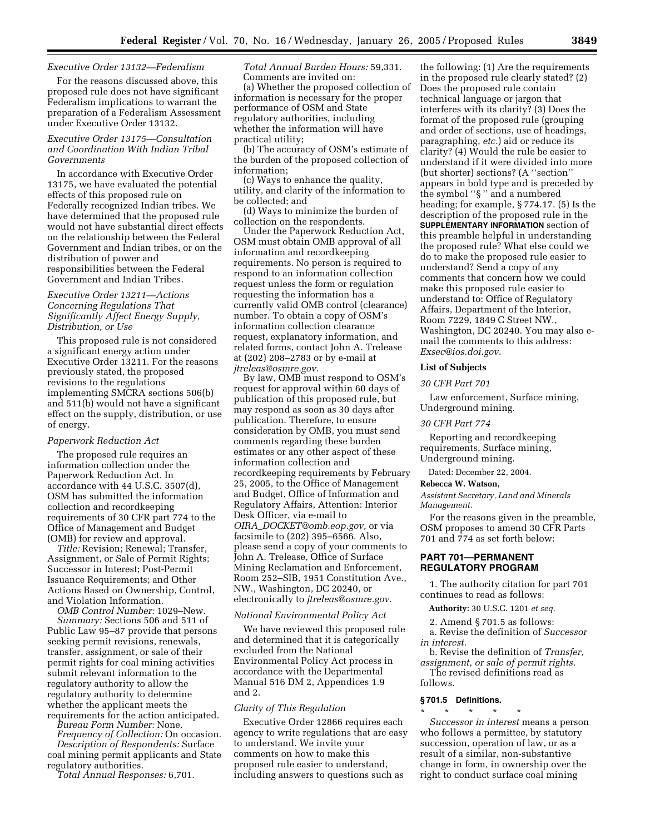## *Executive Order 13132—Federalism*

For the reasons discussed above, this proposed rule does not have significant Federalism implications to warrant the preparation of a Federalism Assessment under Executive Order 13132.

# *Executive Order 13175—Consultation and Coordination With Indian Tribal Governments*

In accordance with Executive Order 13175, we have evaluated the potential effects of this proposed rule on Federally recognized Indian tribes. We have determined that the proposed rule would not have substantial direct effects on the relationship between the Federal Government and Indian tribes, or on the distribution of power and responsibilities between the Federal Government and Indian Tribes.

# *Executive Order 13211—Actions Concerning Regulations That Significantly Affect Energy Supply, Distribution, or Use*

This proposed rule is not considered a significant energy action under Executive Order 13211. For the reasons previously stated, the proposed revisions to the regulations implementing SMCRA sections 506(b) and 511(b) would not have a significant effect on the supply, distribution, or use of energy.

#### *Paperwork Reduction Act*

The proposed rule requires an information collection under the Paperwork Reduction Act. In accordance with 44 U.S.C. 3507(d), OSM has submitted the information collection and recordkeeping requirements of 30 CFR part 774 to the Office of Management and Budget (OMB) for review and approval.

*Title:* Revision; Renewal; Transfer, Assignment, or Sale of Permit Rights; Successor in Interest; Post-Permit Issuance Requirements; and Other Actions Based on Ownership, Control, and Violation Information.

*OMB Control Number:* 1029–New. *Summary:* Sections 506 and 511 of Public Law 95–87 provide that persons seeking permit revisions, renewals, transfer, assignment, or sale of their permit rights for coal mining activities submit relevant information to the regulatory authority to allow the regulatory authority to determine whether the applicant meets the requirements for the action anticipated.

*Bureau Form Number:* None.

*Frequency of Collection:* On occasion. *Description of Respondents:* Surface coal mining permit applicants and State regulatory authorities.

*Total Annual Responses:* 6,701.

*Total Annual Burden Hours:* 59,331. Comments are invited on:

(a) Whether the proposed collection of information is necessary for the proper performance of OSM and State regulatory authorities, including whether the information will have practical utility;

(b) The accuracy of OSM's estimate of the burden of the proposed collection of information;

(c) Ways to enhance the quality, utility, and clarity of the information to be collected; and

(d) Ways to minimize the burden of collection on the respondents.

Under the Paperwork Reduction Act, OSM must obtain OMB approval of all information and recordkeeping requirements. No person is required to respond to an information collection request unless the form or regulation requesting the information has a currently valid OMB control (clearance) number. To obtain a copy of OSM's information collection clearance request, explanatory information, and related forms, contact John A. Trelease at (202) 208–2783 or by e-mail at *jtreleas@osmre.gov.*

By law, OMB must respond to OSM's request for approval within 60 days of publication of this proposed rule, but may respond as soon as 30 days after publication. Therefore, to ensure consideration by OMB, you must send comments regarding these burden estimates or any other aspect of these information collection and recordkeeping requirements by February 25, 2005, to the Office of Management and Budget, Office of Information and Regulatory Affairs, Attention: Interior Desk Officer, via e-mail to *OIRA*\_*DOCKET@omb.eop.gov,* or via facsimile to (202) 395–6566. Also, please send a copy of your comments to John A. Trelease, Office of Surface Mining Reclamation and Enforcement, Room 252–SIB, 1951 Constitution Ave., NW., Washington, DC 20240, or electronically to *jtreleas@osmre.gov.*

# *National Environmental Policy Act*

We have reviewed this proposed rule and determined that it is categorically excluded from the National Environmental Policy Act process in accordance with the Departmental Manual 516 DM 2, Appendices 1.9 and 2.

#### *Clarity of This Regulation*

Executive Order 12866 requires each agency to write regulations that are easy to understand. We invite your comments on how to make this proposed rule easier to understand, including answers to questions such as

the following: (1) Are the requirements in the proposed rule clearly stated? (2) Does the proposed rule contain technical language or jargon that interferes with its clarity? (3) Does the format of the proposed rule (grouping and order of sections, use of headings, paragraphing, *etc.*) aid or reduce its clarity? (4) Would the rule be easier to understand if it were divided into more (but shorter) sections? (A ''section'' appears in bold type and is preceded by the symbol ''§ '' and a numbered heading; for example, § 774.17. (5) Is the description of the proposed rule in the **SUPPLEMENTARY INFORMATION** section of this preamble helpful in understanding the proposed rule? What else could we do to make the proposed rule easier to understand? Send a copy of any comments that concern how we could make this proposed rule easier to understand to: Office of Regulatory Affairs, Department of the Interior, Room 7229, 1849 C Street NW., Washington, DC 20240. You may also email the comments to this address: *Exsec@ios.doi.gov.*

# **List of Subjects**

#### *30 CFR Part 701*

Law enforcement, Surface mining, Underground mining.

#### *30 CFR Part 774*

Reporting and recordkeeping requirements, Surface mining, Underground mining.

Dated: December 22, 2004.

#### **Rebecca W. Watson,**

*Assistant Secretary, Land and Minerals Management.*

For the reasons given in the preamble, OSM proposes to amend 30 CFR Parts 701 and 774 as set forth below:

# **PART 701—PERMANENT REGULATORY PROGRAM**

1. The authority citation for part 701 continues to read as follows:

**Authority:** 30 U.S.C. 1201 *et seq.*

2. Amend § 701.5 as follows: a. Revise the definition of *Successor in interest.*

b. Revise the definition of *Transfer, assignment, or sale of permit rights.*

The revised definitions read as follows.

#### **§ 701.5 Definitions.**

\* \* \* \* \* *Successor in interest* means a person who follows a permittee, by statutory succession, operation of law, or as a result of a similar, non-substantive change in form, in ownership over the right to conduct surface coal mining